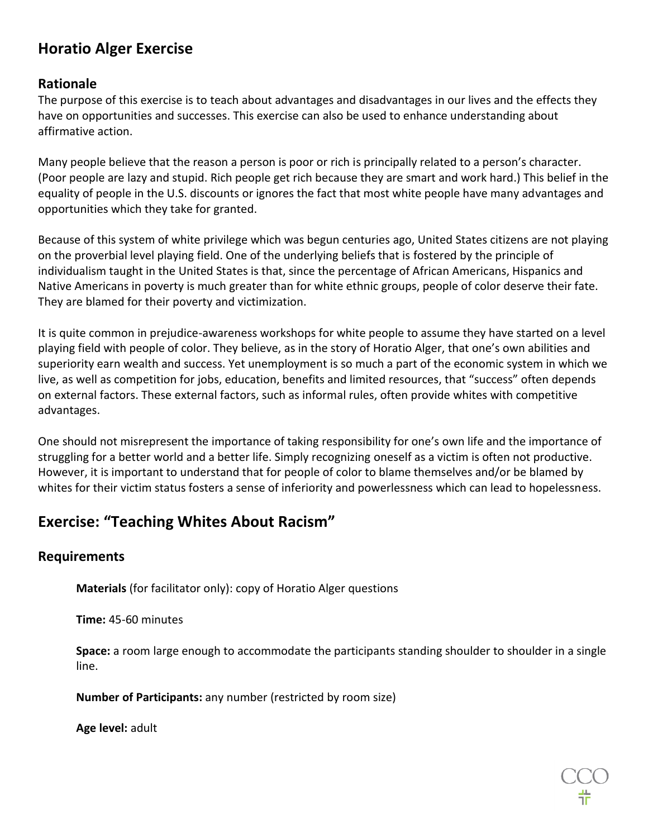# **Horatio Alger Exercise**

#### **Rationale**

The purpose of this exercise is to teach about advantages and disadvantages in our lives and the effects they have on opportunities and successes. This exercise can also be used to enhance understanding about affirmative action.

Many people believe that the reason a person is poor or rich is principally related to a person's character. (Poor people are lazy and stupid. Rich people get rich because they are smart and work hard.) This belief in the equality of people in the U.S. discounts or ignores the fact that most white people have many advantages and opportunities which they take for granted.

Because of this system of white privilege which was begun centuries ago, United States citizens are not playing on the proverbial level playing field. One of the underlying beliefs that is fostered by the principle of individualism taught in the United States is that, since the percentage of African Americans, Hispanics and Native Americans in poverty is much greater than for white ethnic groups, people of color deserve their fate. They are blamed for their poverty and victimization.

It is quite common in prejudice-awareness workshops for white people to assume they have started on a level playing field with people of color. They believe, as in the story of Horatio Alger, that one's own abilities and superiority earn wealth and success. Yet unemployment is so much a part of the economic system in which we live, as well as competition for jobs, education, benefits and limited resources, that "success" often depends on external factors. These external factors, such as informal rules, often provide whites with competitive advantages.

One should not misrepresent the importance of taking responsibility for one's own life and the importance of struggling for a better world and a better life. Simply recognizing oneself as a victim is often not productive. However, it is important to understand that for people of color to blame themselves and/or be blamed by whites for their victim status fosters a sense of inferiority and powerlessness which can lead to hopelessness.

## **Exercise: "Teaching Whites About Racism"**

### **Requirements**

**Materials** (for facilitator only): copy of Horatio Alger questions

**Time:** 45-60 minutes

**Space:** a room large enough to accommodate the participants standing shoulder to shoulder in a single line.

**Number of Participants:** any number (restricted by room size)

**Age level:** adult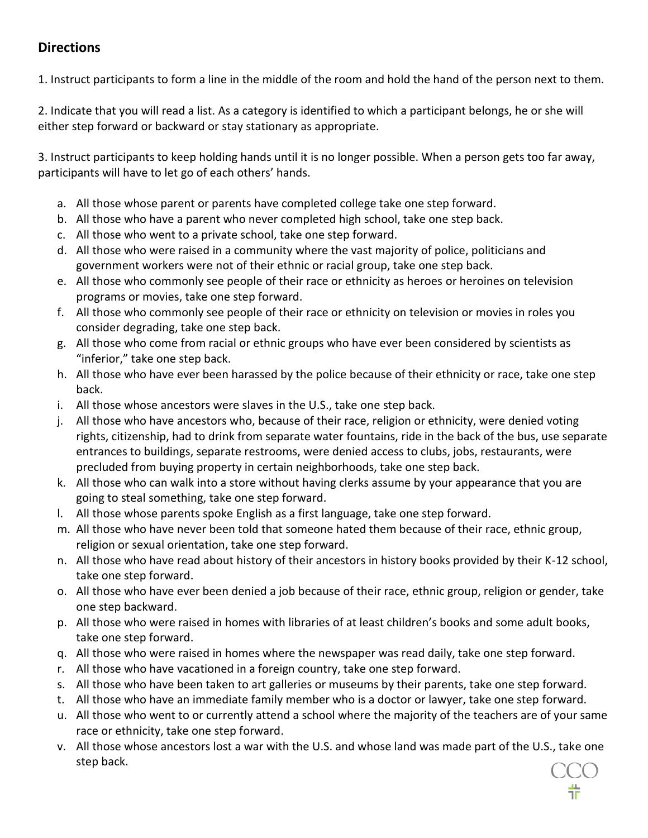### **Directions**

1. Instruct participants to form a line in the middle of the room and hold the hand of the person next to them.

2. Indicate that you will read a list. As a category is identified to which a participant belongs, he or she will either step forward or backward or stay stationary as appropriate.

3. Instruct participants to keep holding hands until it is no longer possible. When a person gets too far away, participants will have to let go of each others' hands.

- a. All those whose parent or parents have completed college take one step forward.
- b. All those who have a parent who never completed high school, take one step back.
- c. All those who went to a private school, take one step forward.
- d. All those who were raised in a community where the vast majority of police, politicians and government workers were not of their ethnic or racial group, take one step back.
- e. All those who commonly see people of their race or ethnicity as heroes or heroines on television programs or movies, take one step forward.
- f. All those who commonly see people of their race or ethnicity on television or movies in roles you consider degrading, take one step back.
- g. All those who come from racial or ethnic groups who have ever been considered by scientists as "inferior," take one step back.
- h. All those who have ever been harassed by the police because of their ethnicity or race, take one step back.
- i. All those whose ancestors were slaves in the U.S., take one step back.
- j. All those who have ancestors who, because of their race, religion or ethnicity, were denied voting rights, citizenship, had to drink from separate water fountains, ride in the back of the bus, use separate entrances to buildings, separate restrooms, were denied access to clubs, jobs, restaurants, were precluded from buying property in certain neighborhoods, take one step back.
- k. All those who can walk into a store without having clerks assume by your appearance that you are going to steal something, take one step forward.
- l. All those whose parents spoke English as a first language, take one step forward.
- m. All those who have never been told that someone hated them because of their race, ethnic group, religion or sexual orientation, take one step forward.
- n. All those who have read about history of their ancestors in history books provided by their K-12 school, take one step forward.
- o. All those who have ever been denied a job because of their race, ethnic group, religion or gender, take one step backward.
- p. All those who were raised in homes with libraries of at least children's books and some adult books, take one step forward.
- q. All those who were raised in homes where the newspaper was read daily, take one step forward.
- r. All those who have vacationed in a foreign country, take one step forward.
- s. All those who have been taken to art galleries or museums by their parents, take one step forward.
- t. All those who have an immediate family member who is a doctor or lawyer, take one step forward.
- u. All those who went to or currently attend a school where the majority of the teachers are of your same race or ethnicity, take one step forward.
- v. All those whose ancestors lost a war with the U.S. and whose land was made part of the U.S., take one step back.